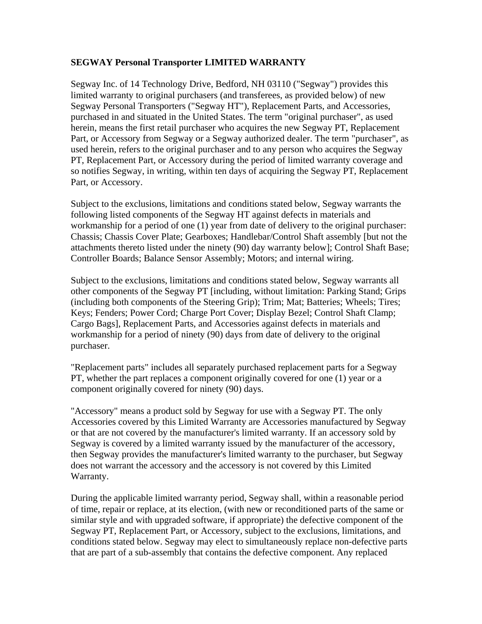## **SEGWAY Personal Transporter LIMITED WARRANTY**

Segway Inc. of 14 Technology Drive, Bedford, NH 03110 ("Segway") provides this limited warranty to original purchasers (and transferees, as provided below) of new Segway Personal Transporters ("Segway HT"), Replacement Parts, and Accessories, purchased in and situated in the United States. The term "original purchaser", as used herein, means the first retail purchaser who acquires the new Segway PT, Replacement Part, or Accessory from Segway or a Segway authorized dealer. The term "purchaser", as used herein, refers to the original purchaser and to any person who acquires the Segway PT, Replacement Part, or Accessory during the period of limited warranty coverage and so notifies Segway, in writing, within ten days of acquiring the Segway PT, Replacement Part, or Accessory.

Subject to the exclusions, limitations and conditions stated below, Segway warrants the following listed components of the Segway HT against defects in materials and workmanship for a period of one (1) year from date of delivery to the original purchaser: Chassis; Chassis Cover Plate; Gearboxes; Handlebar/Control Shaft assembly [but not the attachments thereto listed under the ninety (90) day warranty below]; Control Shaft Base; Controller Boards; Balance Sensor Assembly; Motors; and internal wiring.

Subject to the exclusions, limitations and conditions stated below, Segway warrants all other components of the Segway PT [including, without limitation: Parking Stand; Grips (including both components of the Steering Grip); Trim; Mat; Batteries; Wheels; Tires; Keys; Fenders; Power Cord; Charge Port Cover; Display Bezel; Control Shaft Clamp; Cargo Bags], Replacement Parts, and Accessories against defects in materials and workmanship for a period of ninety (90) days from date of delivery to the original purchaser.

"Replacement parts" includes all separately purchased replacement parts for a Segway PT, whether the part replaces a component originally covered for one (1) year or a component originally covered for ninety (90) days.

"Accessory" means a product sold by Segway for use with a Segway PT. The only Accessories covered by this Limited Warranty are Accessories manufactured by Segway or that are not covered by the manufacturer's limited warranty. If an accessory sold by Segway is covered by a limited warranty issued by the manufacturer of the accessory, then Segway provides the manufacturer's limited warranty to the purchaser, but Segway does not warrant the accessory and the accessory is not covered by this Limited Warranty.

During the applicable limited warranty period, Segway shall, within a reasonable period of time, repair or replace, at its election, (with new or reconditioned parts of the same or similar style and with upgraded software, if appropriate) the defective component of the Segway PT, Replacement Part, or Accessory, subject to the exclusions, limitations, and conditions stated below. Segway may elect to simultaneously replace non-defective parts that are part of a sub-assembly that contains the defective component. Any replaced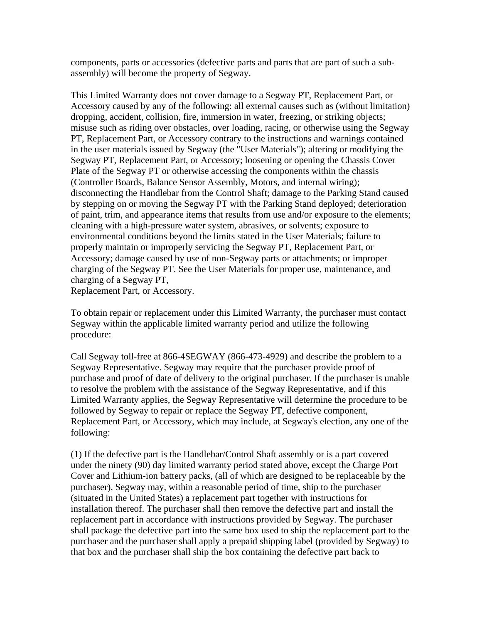components, parts or accessories (defective parts and parts that are part of such a subassembly) will become the property of Segway.

This Limited Warranty does not cover damage to a Segway PT, Replacement Part, or Accessory caused by any of the following: all external causes such as (without limitation) dropping, accident, collision, fire, immersion in water, freezing, or striking objects; misuse such as riding over obstacles, over loading, racing, or otherwise using the Segway PT, Replacement Part, or Accessory contrary to the instructions and warnings contained in the user materials issued by Segway (the "User Materials"); altering or modifying the Segway PT, Replacement Part, or Accessory; loosening or opening the Chassis Cover Plate of the Segway PT or otherwise accessing the components within the chassis (Controller Boards, Balance Sensor Assembly, Motors, and internal wiring); disconnecting the Handlebar from the Control Shaft; damage to the Parking Stand caused by stepping on or moving the Segway PT with the Parking Stand deployed; deterioration of paint, trim, and appearance items that results from use and/or exposure to the elements; cleaning with a high-pressure water system, abrasives, or solvents; exposure to environmental conditions beyond the limits stated in the User Materials; failure to properly maintain or improperly servicing the Segway PT, Replacement Part, or Accessory; damage caused by use of non-Segway parts or attachments; or improper charging of the Segway PT. See the User Materials for proper use, maintenance, and charging of a Segway PT,

Replacement Part, or Accessory.

To obtain repair or replacement under this Limited Warranty, the purchaser must contact Segway within the applicable limited warranty period and utilize the following procedure:

Call Segway toll-free at 866-4SEGWAY (866-473-4929) and describe the problem to a Segway Representative. Segway may require that the purchaser provide proof of purchase and proof of date of delivery to the original purchaser. If the purchaser is unable to resolve the problem with the assistance of the Segway Representative, and if this Limited Warranty applies, the Segway Representative will determine the procedure to be followed by Segway to repair or replace the Segway PT, defective component, Replacement Part, or Accessory, which may include, at Segway's election, any one of the following:

(1) If the defective part is the Handlebar/Control Shaft assembly or is a part covered under the ninety (90) day limited warranty period stated above, except the Charge Port Cover and Lithium-ion battery packs, (all of which are designed to be replaceable by the purchaser), Segway may, within a reasonable period of time, ship to the purchaser (situated in the United States) a replacement part together with instructions for installation thereof. The purchaser shall then remove the defective part and install the replacement part in accordance with instructions provided by Segway. The purchaser shall package the defective part into the same box used to ship the replacement part to the purchaser and the purchaser shall apply a prepaid shipping label (provided by Segway) to that box and the purchaser shall ship the box containing the defective part back to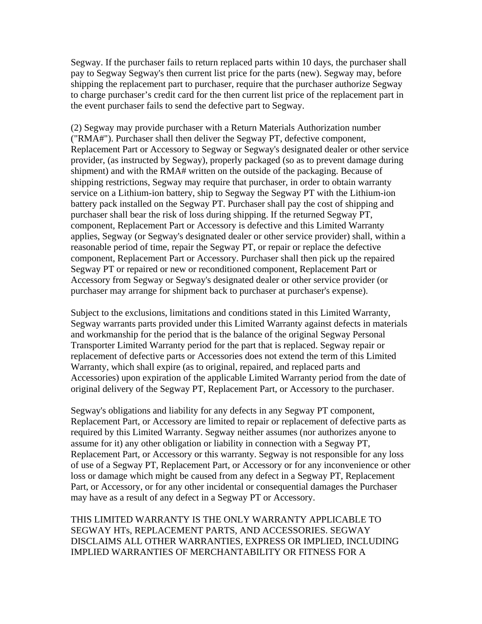Segway. If the purchaser fails to return replaced parts within 10 days, the purchaser shall pay to Segway Segway's then current list price for the parts (new). Segway may, before shipping the replacement part to purchaser, require that the purchaser authorize Segway to charge purchaser's credit card for the then current list price of the replacement part in the event purchaser fails to send the defective part to Segway.

(2) Segway may provide purchaser with a Return Materials Authorization number ("RMA#"). Purchaser shall then deliver the Segway PT, defective component, Replacement Part or Accessory to Segway or Segway's designated dealer or other service provider, (as instructed by Segway), properly packaged (so as to prevent damage during shipment) and with the RMA# written on the outside of the packaging. Because of shipping restrictions, Segway may require that purchaser, in order to obtain warranty service on a Lithium-ion battery, ship to Segway the Segway PT with the Lithium-ion battery pack installed on the Segway PT. Purchaser shall pay the cost of shipping and purchaser shall bear the risk of loss during shipping. If the returned Segway PT, component, Replacement Part or Accessory is defective and this Limited Warranty applies, Segway (or Segway's designated dealer or other service provider) shall, within a reasonable period of time, repair the Segway PT, or repair or replace the defective component, Replacement Part or Accessory. Purchaser shall then pick up the repaired Segway PT or repaired or new or reconditioned component, Replacement Part or Accessory from Segway or Segway's designated dealer or other service provider (or purchaser may arrange for shipment back to purchaser at purchaser's expense).

Subject to the exclusions, limitations and conditions stated in this Limited Warranty, Segway warrants parts provided under this Limited Warranty against defects in materials and workmanship for the period that is the balance of the original Segway Personal Transporter Limited Warranty period for the part that is replaced. Segway repair or replacement of defective parts or Accessories does not extend the term of this Limited Warranty, which shall expire (as to original, repaired, and replaced parts and Accessories) upon expiration of the applicable Limited Warranty period from the date of original delivery of the Segway PT, Replacement Part, or Accessory to the purchaser.

Segway's obligations and liability for any defects in any Segway PT component, Replacement Part, or Accessory are limited to repair or replacement of defective parts as required by this Limited Warranty. Segway neither assumes (nor authorizes anyone to assume for it) any other obligation or liability in connection with a Segway PT, Replacement Part, or Accessory or this warranty. Segway is not responsible for any loss of use of a Segway PT, Replacement Part, or Accessory or for any inconvenience or other loss or damage which might be caused from any defect in a Segway PT, Replacement Part, or Accessory, or for any other incidental or consequential damages the Purchaser may have as a result of any defect in a Segway PT or Accessory.

THIS LIMITED WARRANTY IS THE ONLY WARRANTY APPLICABLE TO SEGWAY HTs, REPLACEMENT PARTS, AND ACCESSORIES. SEGWAY DISCLAIMS ALL OTHER WARRANTIES, EXPRESS OR IMPLIED, INCLUDING IMPLIED WARRANTIES OF MERCHANTABILITY OR FITNESS FOR A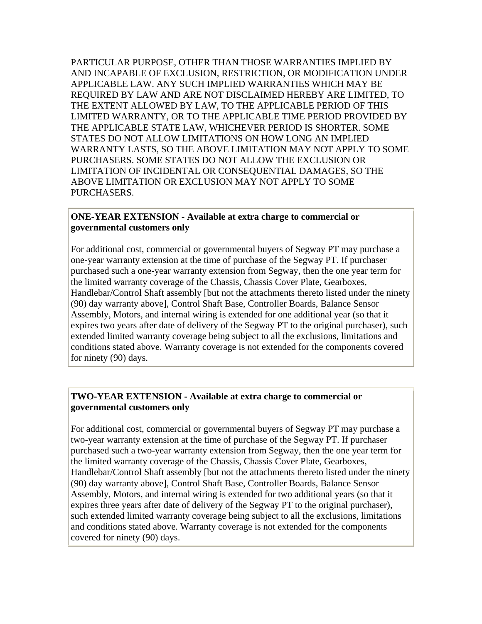PARTICULAR PURPOSE, OTHER THAN THOSE WARRANTIES IMPLIED BY AND INCAPABLE OF EXCLUSION, RESTRICTION, OR MODIFICATION UNDER APPLICABLE LAW. ANY SUCH IMPLIED WARRANTIES WHICH MAY BE REQUIRED BY LAW AND ARE NOT DISCLAIMED HEREBY ARE LIMITED, TO THE EXTENT ALLOWED BY LAW, TO THE APPLICABLE PERIOD OF THIS LIMITED WARRANTY, OR TO THE APPLICABLE TIME PERIOD PROVIDED BY THE APPLICABLE STATE LAW, WHICHEVER PERIOD IS SHORTER. SOME STATES DO NOT ALLOW LIMITATIONS ON HOW LONG AN IMPLIED WARRANTY LASTS, SO THE ABOVE LIMITATION MAY NOT APPLY TO SOME PURCHASERS. SOME STATES DO NOT ALLOW THE EXCLUSION OR LIMITATION OF INCIDENTAL OR CONSEQUENTIAL DAMAGES, SO THE ABOVE LIMITATION OR EXCLUSION MAY NOT APPLY TO SOME PURCHASERS.

## **ONE-YEAR EXTENSION - Available at extra charge to commercial or governmental customers only**

For additional cost, commercial or governmental buyers of Segway PT may purchase a one-year warranty extension at the time of purchase of the Segway PT. If purchaser purchased such a one-year warranty extension from Segway, then the one year term for the limited warranty coverage of the Chassis, Chassis Cover Plate, Gearboxes, Handlebar/Control Shaft assembly [but not the attachments thereto listed under the ninety (90) day warranty above], Control Shaft Base, Controller Boards, Balance Sensor Assembly, Motors, and internal wiring is extended for one additional year (so that it expires two years after date of delivery of the Segway PT to the original purchaser), such extended limited warranty coverage being subject to all the exclusions, limitations and conditions stated above. Warranty coverage is not extended for the components covered for ninety (90) days.

## **TWO-YEAR EXTENSION - Available at extra charge to commercial or governmental customers only**

For additional cost, commercial or governmental buyers of Segway PT may purchase a two-year warranty extension at the time of purchase of the Segway PT. If purchaser purchased such a two-year warranty extension from Segway, then the one year term for the limited warranty coverage of the Chassis, Chassis Cover Plate, Gearboxes, Handlebar/Control Shaft assembly [but not the attachments thereto listed under the ninety (90) day warranty above], Control Shaft Base, Controller Boards, Balance Sensor Assembly, Motors, and internal wiring is extended for two additional years (so that it expires three years after date of delivery of the Segway PT to the original purchaser), such extended limited warranty coverage being subject to all the exclusions, limitations and conditions stated above. Warranty coverage is not extended for the components covered for ninety (90) days.